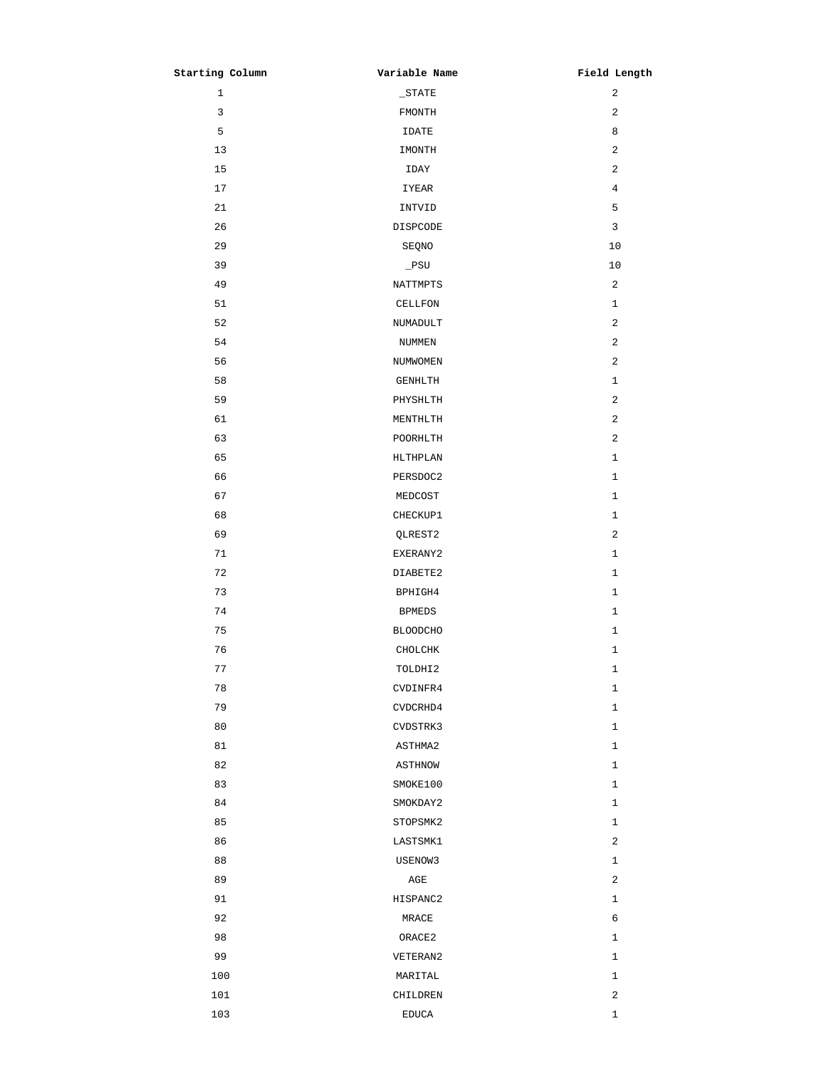| Starting Column | Variable Name   | Field Length   |
|-----------------|-----------------|----------------|
| $\mathbf{1}$    | $\_STATE$       | $\overline{a}$ |
| $\mathbf{3}$    | FMONTH          | 2              |
| 5               | IDATE           | 8              |
| 13              | IMONTH          | $\mathbf{2}$   |
| 15              | IDAY            | 2              |
| 17              | IYEAR           | $\overline{4}$ |
| 21              | INTVID          | 5              |
| 26              | DISPCODE        | 3              |
| 29              | SEQNO           | 10             |
| 39              | $\_$ PSU        | 10             |
| 49              | NATTMPTS        | 2              |
| 51              | CELLFON         | $\mathbf{1}$   |
| 52              | NUMADULT        | $\overline{a}$ |
| 54              | NUMMEN          | $\overline{a}$ |
| 56              | NUMWOMEN        | 2              |
| 58              | GENHLTH         | $\mathbf{1}$   |
| 59              | PHYSHLTH        | 2              |
| 61              | MENTHLTH        | $\overline{c}$ |
| 63              | POORHLTH        | 2              |
| 65              | HLTHPLAN        | $\mathbf{1}$   |
| 66              | PERSDOC2        | $\mathbf{1}$   |
| 67              | MEDCOST         | $\mathbf{1}$   |
| 68              | CHECKUP1        | $\mathbf{1}$   |
| 69              | QLREST2         | 2              |
| 71              | EXERANY2        | $\mathbf{1}$   |
| 72              | DIABETE2        | $\mathbf{1}$   |
| 73              | BPHIGH4         | $\mathbf{1}$   |
| 74              | <b>BPMEDS</b>   | $\mathbf{1}$   |
| 75              | <b>BLOODCHO</b> | $\mathbf{1}$   |
| 76              | CHOLCHK         | I,             |
| 77              | TOLDHI2         | $\mathbf{1}$   |
| 78              | CVDINFR4        | $\mathbf{1}$   |
| 79              | CVDCRHD4        | $\mathbf{1}$   |
| 80              | CVDSTRK3        | $\mathbf{1}$   |
| 81              | ASTHMA2         | $\mathbf{1}$   |
| 82              | ASTHNOW         | $\mathbf{1}$   |
| 83              | SMOKE100        | $\mathbf{1}$   |
| 84              | SMOKDAY2        | $\mathbf{1}$   |
| 85              | STOPSMK2        | $\mathbf{1}$   |
| 86              | LASTSMK1        | $\overline{a}$ |
| 88              | USENOW3         | $\mathbf{1}$   |
| 89              | AGE             | 2              |
| 91              | HISPANC2        | $\mathbf{1}$   |
| 92              | MRACE           | 6              |
| 98              | ORACE2          | $\mathbf{1}$   |
| 99              | VETERAN2        | $\mathbf{1}$   |
| 100             | MARITAL         | $\mathbf{1}$   |
| 101             | CHILDREN        | 2              |
| 103             | <b>EDUCA</b>    | $\mathbf 1$    |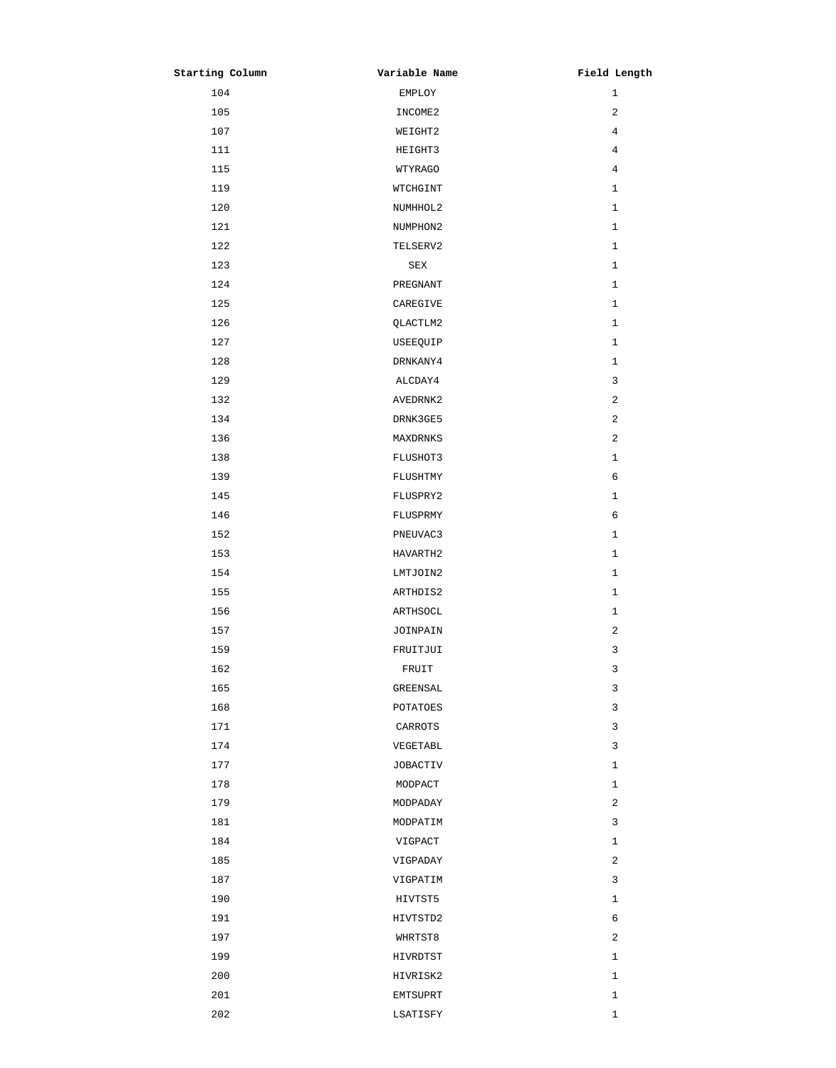| Starting Column | Variable Name | Field Length |
|-----------------|---------------|--------------|
| 104             | EMPLOY        | $\mathbf{1}$ |
| 105             | INCOME2       | 2            |
| 107             | WEIGHT2       | 4            |
| 111             | HEIGHT3       | 4            |
| 115             | WTYRAGO       | 4            |
| 119             | WTCHGINT      | $\mathbf{1}$ |
| 120             | NUMHHOL2      | $\mathbf{1}$ |
| 121             | NUMPHON2      | 1            |
| 122             | TELSERV2      | $\mathbf{1}$ |
| 123             | SEX           | $\mathbf{1}$ |
| 124             | PREGNANT      | $\mathbf{1}$ |
| 125             | CAREGIVE      | 1            |
| 126             | QLACTLM2      | $\mathbf{1}$ |
| 127             | USEEQUIP      | $\mathbf{1}$ |
| 128             | DRNKANY4      | $\mathbf{1}$ |
| 129             | ALCDAY4       | 3            |
| 132             | AVEDRNK2      | 2            |
| 134             | DRNK3GE5      | 2            |
| 136             | MAXDRNKS      | 2            |
| 138             | FLUSHOT3      | $\mathbf{1}$ |
| 139             | FLUSHTMY      | 6            |
| 145             | FLUSPRY2      | $\mathbf{1}$ |
| 146             | FLUSPRMY      | 6            |
| 152             | PNEUVAC3      | $1\,$        |
| 153             | HAVARTH2      | $\mathbf{1}$ |
| 154             | LMTJOIN2      | 1            |
| 155             | ARTHDIS2      | $\mathbf{1}$ |
| 156             | ARTHSOCL      | 1            |
| 157             | JOINPAIN      | 2            |
| 159             | FRUITJUI      | 3            |
| 162             | FRUIT         | 3            |
| 165             | GREENSAL      | 3            |
| 168             | POTATOES      | 3            |
| 171             | CARROTS       | 3            |
| 174             | VEGETABL      | 3            |
| 177             | JOBACTIV      | 1            |
| 178             | MODPACT       | 1            |
| 179             | MODPADAY      | 2            |
| 181             | MODPATIM      | 3            |
| 184             | VIGPACT       | $\mathbf{1}$ |
| 185             | VIGPADAY      | 2            |
| 187             | VIGPATIM      | 3            |
| 190             | HIVTST5       | 1            |
| 191             | HIVTSTD2      | 6            |
| 197             | WHRTST8       | 2            |
| 199             | HIVRDTST      | $\mathbf{1}$ |
| 200             | HIVRISK2      | 1            |
| 201             | EMTSUPRT      | 1            |
| 202             | LSATISFY      | $1\,$        |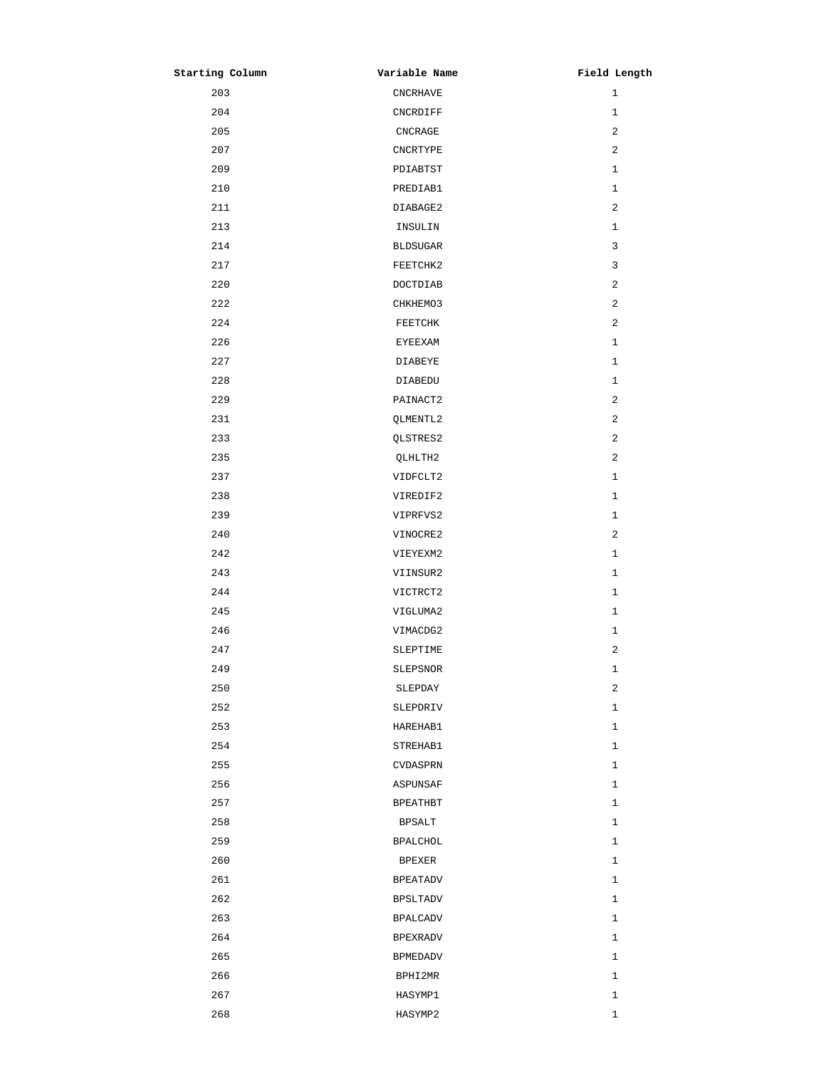| Starting Column | Variable Name   | Field Length |
|-----------------|-----------------|--------------|
| 203             | <b>CNCRHAVE</b> | 1            |
| 204             | CNCRDIFF        | $\mathbf{1}$ |
| 205             | CNCRAGE         | 2            |
| 207             | CNCRTYPE        | 2            |
| 209             | PDIABTST        | $\mathbf{1}$ |
| 210             | PREDIAB1        | $\mathbf{1}$ |
| 211             | DIABAGE2        | 2            |
| 213             | INSULIN         | 1            |
| 214             | <b>BLDSUGAR</b> | 3            |
| 217             | FEETCHK2        | 3            |
| 220             | DOCTDIAB        | 2            |
| 222             | CHKHEMO3        | $\sqrt{2}$   |
| 224             | FEETCHK         | 2            |
| 226             | <b>EYEEXAM</b>  | $\mathbf 1$  |
| 227             | DIABEYE         | $\mathbf 1$  |
| 228             | DIABEDU         | 1            |
| 229             | PAINACT2        | 2            |
| 231             | QLMENTL2        | 2            |
| 233             | QLSTRES2        | 2            |
| 235             | QLHLTH2         | 2            |
| 237             | VIDFCLT2        | 1            |
| 238             | VIREDIF2        | 1            |
| 239             | VIPRFVS2        | 1            |
| 240             | VINOCRE2        | 2            |
| 242             | VIEYEXM2        | 1            |
| 243             | VIINSUR2        | 1            |
| 244             | VICTRCT2        | $\mathbf{1}$ |
| 245             | VIGLUMA2        | 1            |
| 246             | VIMACDG2        | 1            |
| 247             | SLEPTIME        | 2            |
| 249             | SLEPSNOR        | 1            |
| 250             | SLEPDAY         | $\sqrt{2}$   |
| 252             | SLEPDRIV        | 1            |
| 253             | HAREHAB1        | 1            |
| 254             | STREHAB1        | 1            |
| 255             | CVDASPRN        | 1            |
| 256             | ASPUNSAF        | 1            |
| 257             | <b>BPEATHBT</b> | 1            |
| 258             | $\tt BPSALT$    | 1            |
| 259             | <b>BPALCHOL</b> | 1            |
| 260             | <b>BPEXER</b>   | 1            |
| 261             | <b>BPEATADV</b> | $\mathbf 1$  |
| 262             | <b>BPSLTADV</b> | 1            |
| 263             | <b>BPALCADV</b> | 1            |
| 264             | <b>BPEXRADV</b> | 1            |
| 265             | <b>BPMEDADV</b> | 1            |
| 266             | BPHI2MR         | 1            |
| 267             | HASYMP1         | 1            |
| 268             | HASYMP2         | $\mathbf 1$  |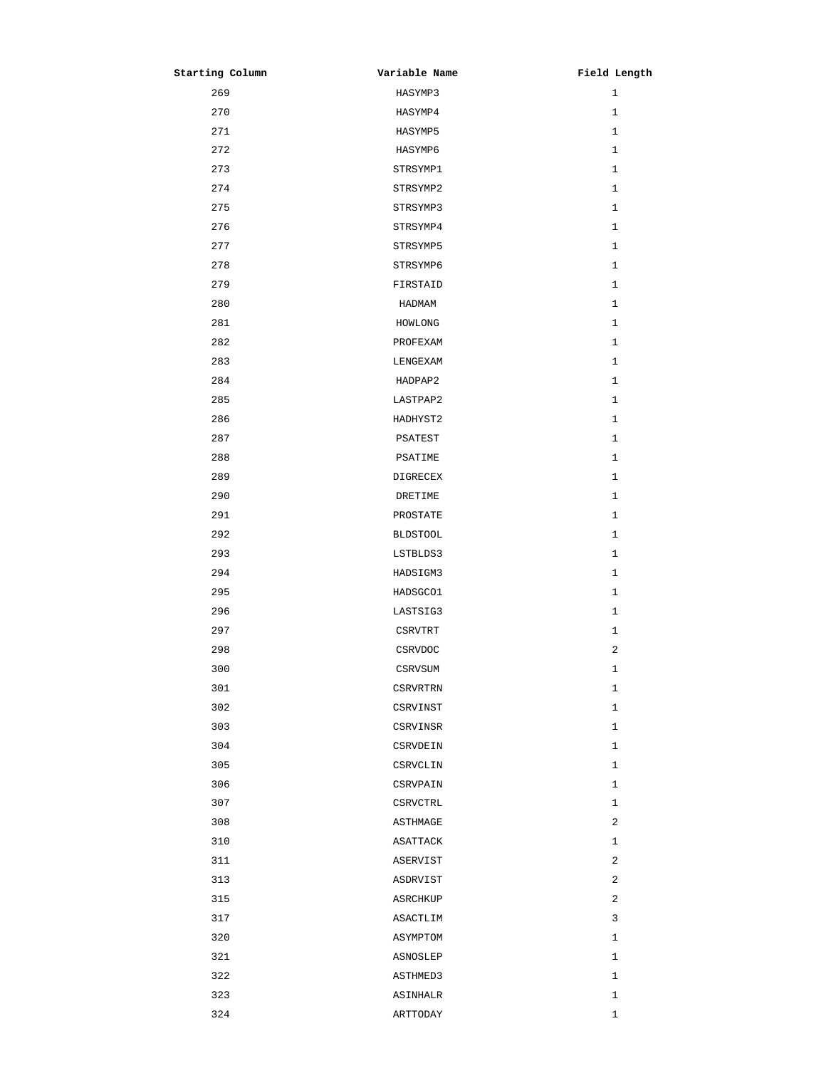| Starting Column | Variable Name   | Field Length |
|-----------------|-----------------|--------------|
| 269             | HASYMP3         | $\mathbf{1}$ |
| 270             | HASYMP4         | $\mathbf{1}$ |
| 271             | HASYMP5         | $\mathbf{1}$ |
| 272             | HASYMP6         | 1            |
| 273             | STRSYMP1        | 1            |
| 274             | STRSYMP2        | $\mathbf{1}$ |
| 275             | STRSYMP3        | $\mathbf{1}$ |
| 276             | STRSYMP4        | 1            |
| 277             | STRSYMP5        | $\mathbf{1}$ |
| 278             | STRSYMP6        | $\mathbf{1}$ |
| 279             | FIRSTAID        | $\mathbf{1}$ |
| 280             | HADMAM          | 1            |
| 281             | HOMLONG         | 1            |
| 282             | PROFEXAM        | $\mathbf{1}$ |
| 283             | LENGEXAM        | $\mathbf{1}$ |
| 284             | HADPAP2         | $\mathbf{1}$ |
| 285             | LASTPAP2        | $\mathbf{1}$ |
| 286             | HADHYST2        | $\mathbf{1}$ |
| 287             | PSATEST         | $\mathbf{1}$ |
| 288             | PSATIME         | $\mathbf{1}$ |
| 289             | DIGRECEX        | $\mathbf{1}$ |
| 290             | DRETIME         | $\mathbf{1}$ |
| 291             | PROSTATE        | $\mathbf{1}$ |
| 292             | <b>BLDSTOOL</b> | 1            |
| 293             | LSTBLDS3        | $\mathbf{1}$ |
| 294             | HADSIGM3        | 1            |
| 295             | HADSGC01        | $\mathbf{1}$ |
| 296             | LASTSIG3        | 1            |
| 297             | CSRVTRT         | 1            |
| 298             | CSRVDOC         | 2            |
| 300             | CSRVSUM         | 1            |
| 301             | CSRVRTRN        | $\mathbf{1}$ |
| 302             | CSRVINST        | $\mathbf{1}$ |
| 303             | CSRVINSR        | $\mathbf{1}$ |
| 304             | CSRVDEIN        | $1\,$        |
| 305             | CSRVCLIN        | 1            |
| 306             | CSRVPAIN        | 1            |
| 307             | CSRVCTRL        | $\mathbf{1}$ |
| 308             | ASTHMAGE        | $\sqrt{2}$   |
| 310             | ASATTACK        | $\mathbf{1}$ |
| 311             | ASERVIST        | 2            |
| 313             | ASDRVIST        | 2            |
| 315             | ASRCHKUP        | $\sqrt{2}$   |
| 317             | ASACTLIM        | 3            |
| 320             | ASYMPTOM        | $\mathbf{1}$ |
| 321             | ASNOSLEP        | $\mathbf{1}$ |
| 322             | ASTHMED3        | 1            |
| 323             | ASINHALR        | 1            |
| 324             | ARTTODAY        | $1\,$        |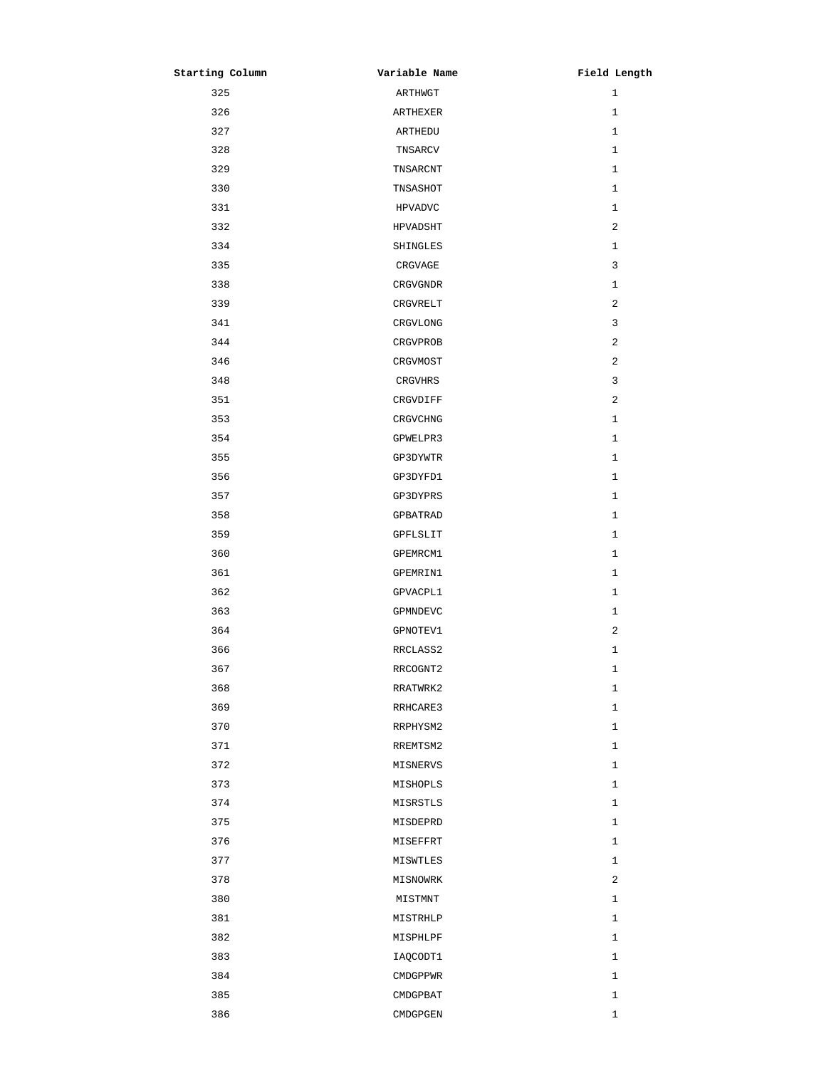| Starting Column | Variable Name  | Field Length |
|-----------------|----------------|--------------|
| 325             | ARTHWGT        | $\mathbf{1}$ |
| 326             | ARTHEXER       | 1            |
| 327             | ARTHEDU        | $\mathbf{1}$ |
| 328             | TNSARCV        | 1            |
| 329             | TNSARCNT       | $\mathbf{1}$ |
| 330             | TNSASHOT       | $\mathbf{1}$ |
| 331             | <b>HPVADVC</b> | $\mathbf{1}$ |
| 332             | HPVADSHT       | 2            |
| 334             | SHINGLES       | $\mathbf{1}$ |
| 335             | CRGVAGE        | 3            |
| 338             | CRGVGNDR       | $\mathbf{1}$ |
| 339             | CRGVRELT       | 2            |
| 341             | CRGVLONG       | 3            |
| 344             | CRGVPROB       | $\mathbf{2}$ |
| 346             | CRGVMOST       | 2            |
| 348             | CRGVHRS        | 3            |
| 351             | CRGVDIFF       | 2            |
| 353             | CRGVCHNG       | $\mathbf{1}$ |
| 354             | GPWELPR3       | $\mathbf{1}$ |
| 355             | GP3DYWTR       | $\mathbf{1}$ |
| 356             | GP3DYFD1       | $\mathbf{1}$ |
| 357             | GP3DYPRS       | $\mathbf{1}$ |
| 358             | GPBATRAD       | $\mathbf{1}$ |
| 359             | GPFLSLIT       | $\mathbf{1}$ |
| 360             | GPEMRCM1       | 1            |
| 361             | GPEMRIN1       | $\mathbf{1}$ |
| 362             | GPVACPL1       | $\mathbf{1}$ |
| 363             | GPMNDEVC       | 1            |
| 364             | GPNOTEV1       | 2            |
| 366             | RRCLASS2       | Ŧ            |
| 367             | RRCOGNT2       | $\mathbf{1}$ |
| 368             | RRATWRK2       | $\mathbf{1}$ |
| 369             | RRHCARE3       | $\mathbf{1}$ |
| 370             | RRPHYSM2       | $\mathbf{1}$ |
| 371             | RREMTSM2       | $\mathbf{1}$ |
| 372             | MISNERVS       | $\mathbf{1}$ |
| 373             | MISHOPLS       | $\mathbf{1}$ |
| 374             | MISRSTLS       | $\mathbf{1}$ |
| 375             | MISDEPRD       | $\mathbf{1}$ |
| 376             | MISEFFRT       | $\mathbf{1}$ |
| 377             | MISWTLES       | $\mathbf{1}$ |
| 378             | MISNOWRK       | 2            |
| 380             | MISTMNT        | $\mathbf{1}$ |
| 381             | MISTRHLP       | $\mathbf{1}$ |
| 382             | MISPHLPF       | $\mathbf{1}$ |
| 383             | IAQCODT1       | $\mathbf{1}$ |
| 384             | CMDGPPWR       | $\mathbf{1}$ |
| 385             | CMDGPBAT       | $\mathbf{1}$ |
| 386             | CMDGPGEN       | $\mathbf 1$  |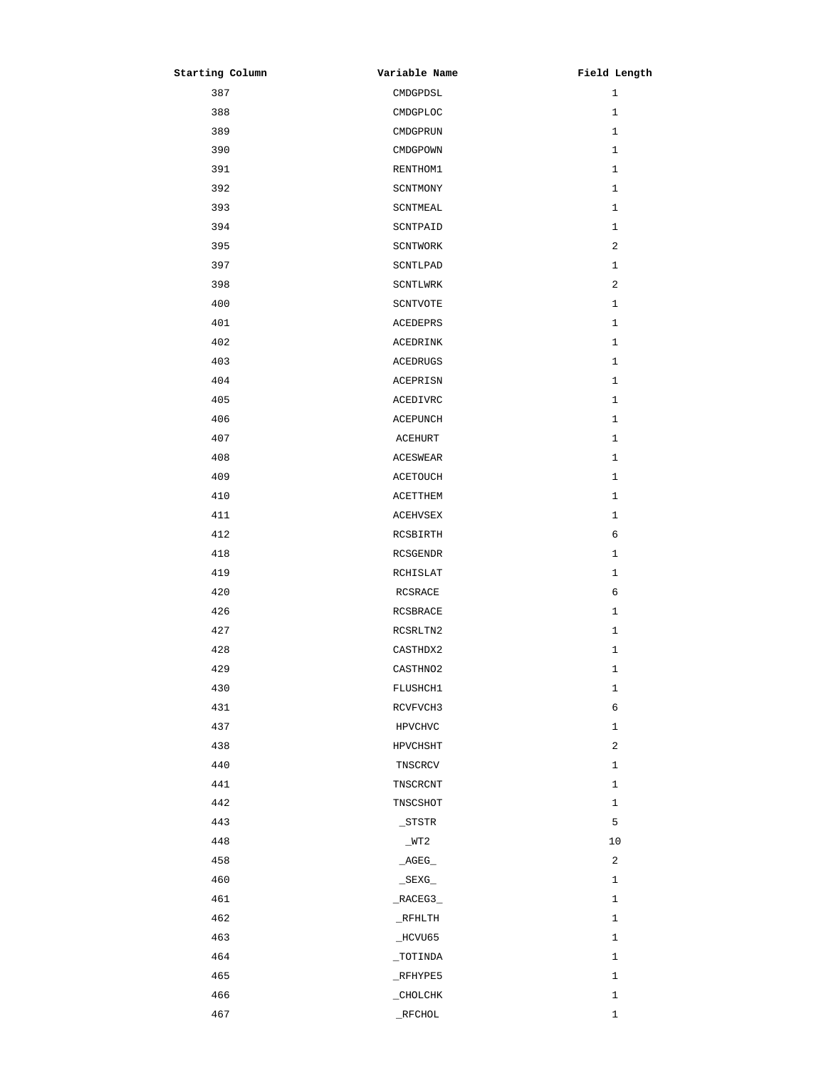| Starting Column | Variable Name   | Field Length |
|-----------------|-----------------|--------------|
| 387             | CMDGPDSL        | $\mathbf{1}$ |
| 388             | CMDGPLOC        | $\mathbf{1}$ |
| 389             | CMDGPRUN        | $\mathbf{1}$ |
| 390             | CMDGPOWN        | $\mathbf{1}$ |
| 391             | RENTHOM1        | $\mathbf{1}$ |
| 392             | SCNTMONY        | $\mathbf{1}$ |
| 393             | SCNTMEAL        | $\mathbf{1}$ |
| 394             | SCNTPAID        | $\mathbf{1}$ |
| 395             | SCNTWORK        | 2            |
| 397             | SCNTLPAD        | $\mathbf{1}$ |
| 398             | SCNTLWRK        | 2            |
| 400             | SCNTVOTE        | $\mathbf{1}$ |
| 401             | ACEDEPRS        | $\mathbf{1}$ |
| 402             | <b>ACEDRINK</b> | $\mathbf{1}$ |
| 403             | <b>ACEDRUGS</b> | $\mathbf{1}$ |
| 404             | ACEPRISN        | $\mathbf{1}$ |
| 405             | ACEDIVRC        | $\mathbf{1}$ |
| 406             | ACEPUNCH        | $\mathbf{1}$ |
| 407             | <b>ACEHURT</b>  | $\mathbf{1}$ |
| 408             | ACESWEAR        | $\mathbf{1}$ |
| 409             | ACETOUCH        | $\mathbf{1}$ |
| 410             | ACETTHEM        | $\mathbf{1}$ |
| 411             | ACEHVSEX        | 1            |
| 412             | RCSBIRTH        | 6            |
| 418             | RCSGENDR        | $\mathbf{1}$ |
| 419             | RCHISLAT        | $\mathbf{1}$ |
| 420             | RCSRACE         | 6            |
| 426             | RCSBRACE        | $\mathbf{1}$ |
| 427             | RCSRLTN2        | $\mathbf{1}$ |
| 428             | CASTHDX2        | 1            |
| 429             | CASTHN02        | $\mathbf{1}$ |
| 430             | FLUSHCH1        | $\mathbf 1$  |
| 431             | RCVFVCH3        | 6            |
| 437             | HPVCHVC         | $\mathbf{1}$ |
| 438             | HPVCHSHT        | 2            |
| 440             | TNSCRCV         | $\mathbf{1}$ |
| 441             | TNSCRCNT        | $\mathbf{1}$ |
| 442             | TNSCSHOT        | $\mathbf{1}$ |
| 443             | _STSTR          | 5            |
| 448             | $_WT2$          | 10           |
| 458             | $\_AGEG$        | 2            |
| 460             | $\_$ SEXG $\_$  | $\mathbf{1}$ |
| 461             | $\_RACEG3$      | $\mathbf{1}$ |
| 462             | $_R$ FHLTH      | $\mathbf{1}$ |
| 463             | $\_$ HCVU65     | $\mathbf{1}$ |
| 464             | $_$ TOTINDA     | $\mathbf{1}$ |
| 465             | $_K$ FHYPE5     | $\mathbf{1}$ |
| 466             |                 | $\mathbf 1$  |
| 467             | $\_$ RFCHOL     | $\mathbf 1$  |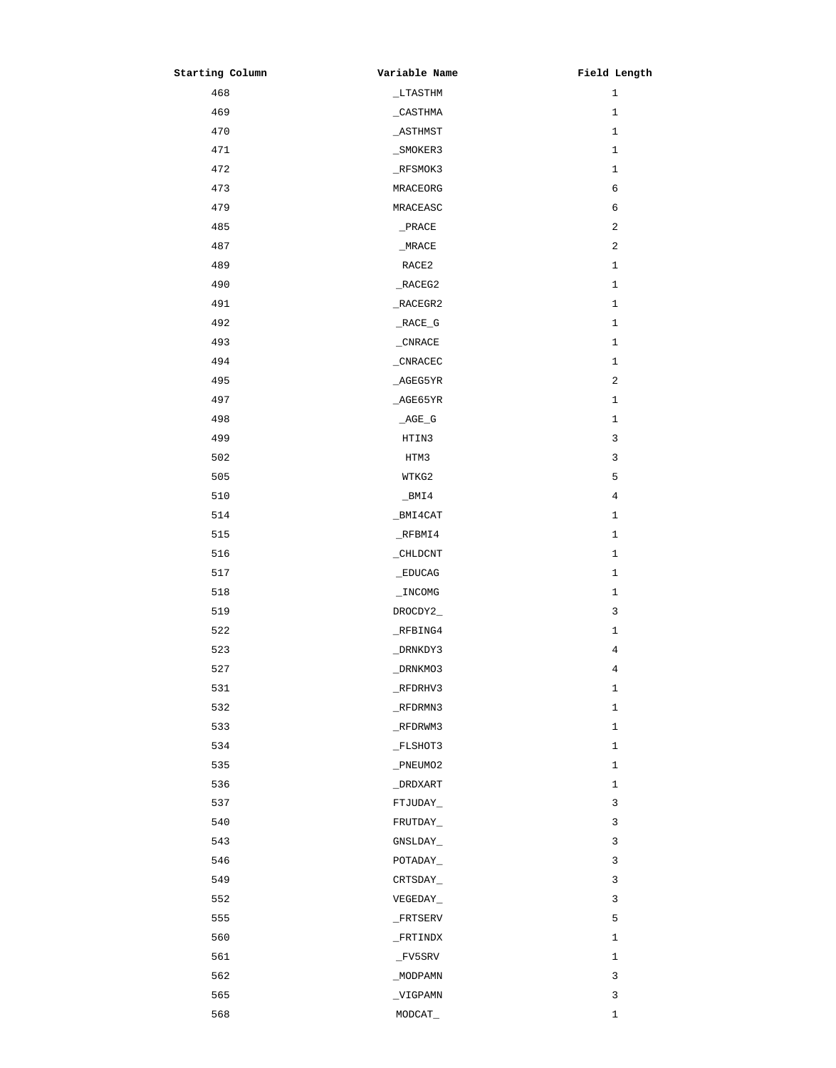| Starting Column | Variable Name | Field Length   |
|-----------------|---------------|----------------|
| 468             | $_L$ TASTHM   | $\mathbf{1}$   |
| 469             | $\_$ CASTHMA  | $\mathbf{1}$   |
| 470             | $\_$ ASTHMST  | $\mathbf{1}$   |
| 471             | _SMOKER3      | $\mathbf{1}$   |
| 472             | $_K$ FSMOK3   | $\mathbf{1}$   |
| 473             | MRACEORG      | $\sqrt{6}$     |
| 479             | MRACEASC      | 6              |
| 485             | $\_$ PRACE    | $\sqrt{2}$     |
| 487             | $_M$ RACE     | $\sqrt{2}$     |
| 489             | RACE2         | $\mathbf{1}$   |
| 490             | $\_RACES2$    | $\mathbf{1}$   |
| 491             | $\_RACES2$    | $\mathbf{1}$   |
| 492             | $\_RACE_G$    | $\mathbf{1}$   |
| 493             | $_CNRACE$     | $\mathbf{1}$   |
| 494             | $_C$ NRACEC   | $\mathbf{1}$   |
| 495             | _AGEG5YR      | $\sqrt{2}$     |
| 497             | AGE65YR       | $\mathbf{1}$   |
| 498             | $AGE_G$       | $\mathbf{1}$   |
| 499             | HTIN3         | 3              |
| 502             | HTM3          | 3              |
| 505             | WTKG2         | 5              |
| 510             | $\_$ BMI4     | 4              |
| 514             | _BMI4CAT      | $\mathbf{1}$   |
| 515             | $_K$ FBMI4    | $\mathbf{1}$   |
| 516             | _CHLDCNT      | 1              |
| 517             | _EDUCAG       | 1              |
| 518             | $\_INCOMG$    | 1              |
| 519             | DROCDY2_      | 3              |
| 522             | $_R$ FBING4   | 1              |
| 523             | _DRNKDY3      | 4              |
| 527             | _DRNKMO3      | $\overline{4}$ |
| 531             | $_R$ FDRHV3   | $\mathbf{1}$   |
| 532             | $_R$ FDRMN3   | $\mathbf{1}$   |
| 533             | _RFDRWM3      | $\mathbf{1}$   |
| 534             | $_F$ LSHOT3   | $\mathbf{1}$   |
| 535             | _PNEUMO2      | 1              |
| 536             | _DRDXART      | $\mathbf{1}$   |
| 537             | FTJUDAY_      | 3              |
| 540             | FRUTDAY_      | 3              |
| 543             | GNSLDAY_      | 3              |
| 546             | POTADAY       | 3              |
| 549             | CRTSDAY_      | 3              |
| 552             | VEGEDAY_      | 3              |
| 555             | $\_$ FRTSERV  | 5              |
| 560             | $_F$ RTINDX   | 1              |
| 561             | $_F$ v5SRV    | $\mathbf{1}$   |
| 562             | _MODPAMN      | 3              |
| 565             | _VIGPAMN      | 3              |
| 568             | MODCAT_       | 1              |